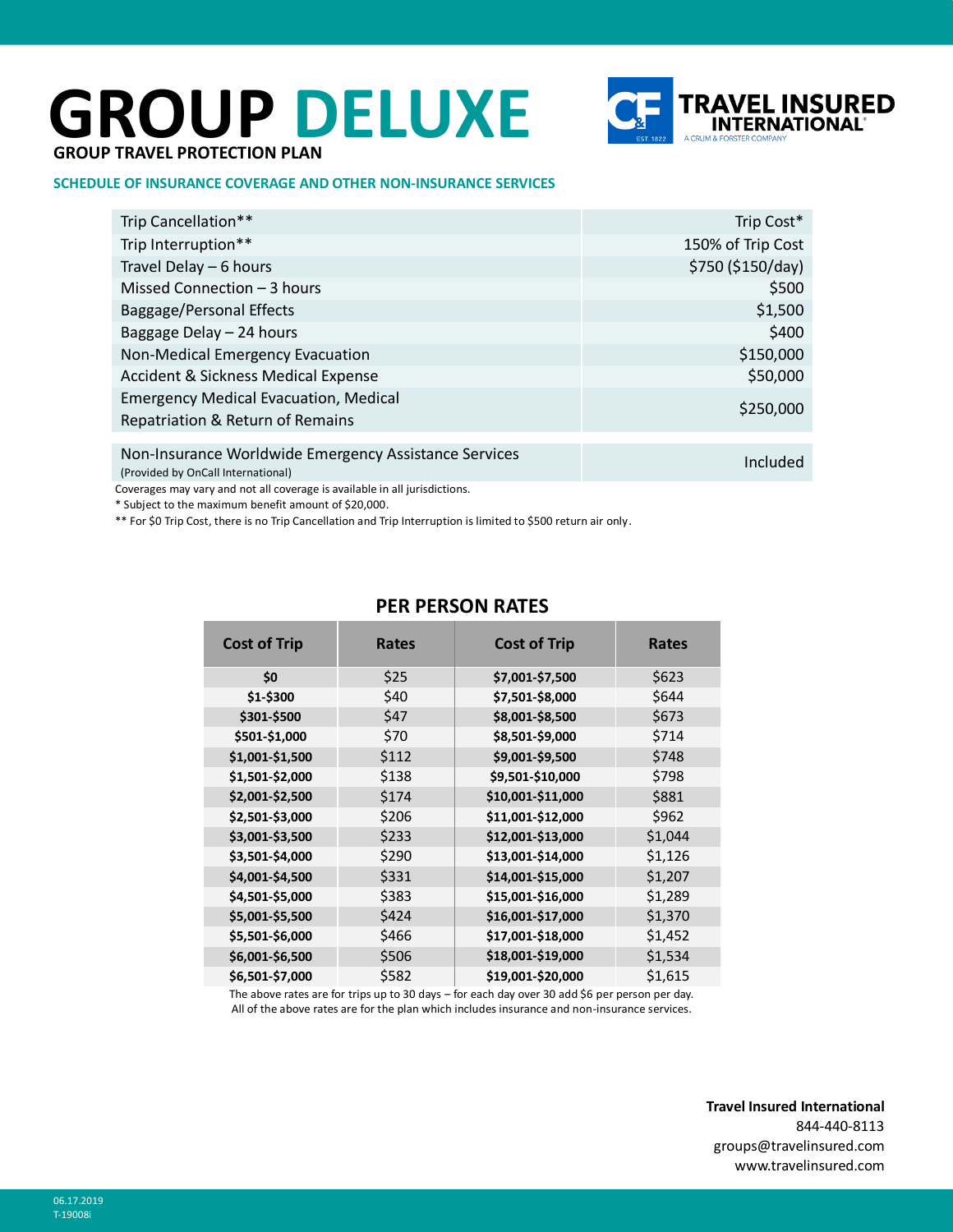# **GROUP DELUXE**



## **GROUP TRAVEL PROTECTION PLAN**

#### **SCHEDULE OF INSURANCE COVERAGE AND OTHER NON-INSURANCE SERVICES**

| Trip Cancellation**                                                                         | Trip Cost*        |
|---------------------------------------------------------------------------------------------|-------------------|
| Trip Interruption**                                                                         | 150% of Trip Cost |
| Travel Delay - 6 hours                                                                      | \$750 (\$150/day) |
| Missed Connection - 3 hours                                                                 | \$500             |
| Baggage/Personal Effects                                                                    | \$1,500           |
| Baggage Delay - 24 hours                                                                    | \$400             |
| Non-Medical Emergency Evacuation                                                            | \$150,000         |
| <b>Accident &amp; Sickness Medical Expense</b>                                              | \$50,000          |
| <b>Emergency Medical Evacuation, Medical</b>                                                | \$250,000         |
| Repatriation & Return of Remains                                                            |                   |
|                                                                                             |                   |
| Non-Insurance Worldwide Emergency Assistance Services<br>(Provided by OnCall International) | Included          |

Coverages may vary and not all coverage is available in all jurisdictions.

\* Subject to the maximum benefit amount of \$20,000.

\*\* For \$0 Trip Cost, there is no Trip Cancellation and Trip Interruption is limited to \$500 return air only.

| <b>Cost of Trip</b> | <b>Rates</b> | <b>Cost of Trip</b> | <b>Rates</b> |
|---------------------|--------------|---------------------|--------------|
| \$0                 | \$25         | \$7,001-\$7,500     | \$623        |
| \$1-\$300           | \$40         | \$7,501-\$8,000     | \$644        |
| \$301-\$500         | \$47         | \$8,001-\$8,500     | \$673        |
| \$501-\$1,000       | \$70         | \$8,501-\$9,000     | \$714        |
| \$1,001-\$1,500     | \$112        | \$9,001-\$9,500     | \$748        |
| \$1,501-\$2,000     | \$138        | \$9,501-\$10,000    | \$798        |
| \$2,001-\$2,500     | \$174        | \$10,001-\$11,000   | \$881        |
| \$2,501-\$3,000     | \$206        | \$11,001-\$12,000   | \$962        |
| \$3,001-\$3,500     | \$233        | \$12,001-\$13,000   | \$1,044      |
| \$3,501-\$4,000     | \$290        | \$13,001-\$14,000   | \$1,126      |
| \$4,001-\$4,500     | \$331        | \$14,001-\$15,000   | \$1,207      |
| \$4,501-\$5,000     | \$383        | \$15,001-\$16,000   | \$1,289      |
| \$5,001-\$5,500     | \$424        | \$16,001-\$17,000   | \$1,370      |
| \$5,501-\$6,000     | \$466        | \$17,001-\$18,000   | \$1,452      |
| \$6,001-\$6,500     | \$506        | \$18,001-\$19,000   | \$1,534      |
| \$6,501-\$7,000     | \$582        | \$19,001-\$20,000   | \$1,615      |

# **PER PERSON RATES**

The above rates are for trips up to 30 days – for each day over 30 add \$6 per person per day. All of the above rates are for the plan which includes insurance and non-insurance services.